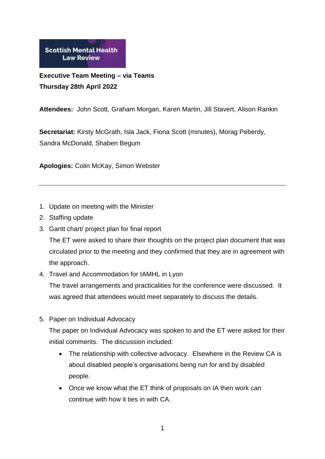**Scottish Mental Health Law Review** 

**Executive Team Meeting – via Teams Thursday 28th April 2022**

**Attendees:** John Scott, Graham Morgan, Karen Martin, Jill Stavert, Alison Rankin

**Secretariat:** Kirsty McGrath, Isla Jack, Fiona Scott (minutes), Morag Peberdy, Sandra McDonald, Shaben Begum

**Apologies:** Colin McKay, Simon Webster

- 1. Update on meeting with the Minister
- 2. Staffing update
- 3. Gantt chart/ project plan for final report The ET were asked to share their thoughts on the project plan document that was circulated prior to the meeting and they confirmed that they are in agreement with the approach.
- 4. Travel and Accommodation for IAMHL in Lyon The travel arrangements and practicalities for the conference were discussed. It was agreed that attendees would meet separately to discuss the details.
- 5. Paper on Individual Advocacy

The paper on Individual Advocacy was spoken to and the ET were asked for their initial comments. The discussion included:

- The relationship with collective advocacy. Elsewhere in the Review CA is about disabled people's organisations being run for and by disabled people.
- Once we know what the ET think of proposals on IA then work can continue with how it ties in with CA.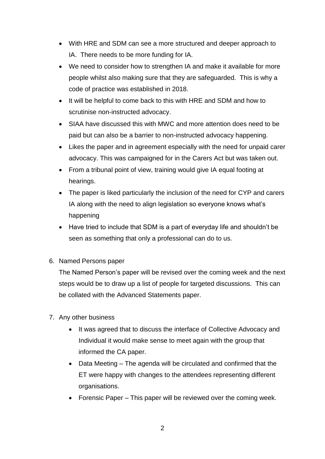- With HRE and SDM can see a more structured and deeper approach to IA. There needs to be more funding for IA.
- We need to consider how to strengthen IA and make it available for more people whilst also making sure that they are safeguarded. This is why a code of practice was established in 2018.
- It will be helpful to come back to this with HRE and SDM and how to scrutinise non-instructed advocacy.
- SIAA have discussed this with MWC and more attention does need to be paid but can also be a barrier to non-instructed advocacy happening.
- Likes the paper and in agreement especially with the need for unpaid carer advocacy. This was campaigned for in the Carers Act but was taken out.
- From a tribunal point of view, training would give IA equal footing at hearings.
- The paper is liked particularly the inclusion of the need for CYP and carers IA along with the need to align legislation so everyone knows what's happening
- Have tried to include that SDM is a part of everyday life and shouldn't be seen as something that only a professional can do to us.
- 6. Named Persons paper

The Named Person's paper will be revised over the coming week and the next steps would be to draw up a list of people for targeted discussions. This can be collated with the Advanced Statements paper.

- 7. Any other business
	- It was agreed that to discuss the interface of Collective Advocacy and Individual it would make sense to meet again with the group that informed the CA paper.
	- Data Meeting The agenda will be circulated and confirmed that the ET were happy with changes to the attendees representing different organisations.
	- Forensic Paper This paper will be reviewed over the coming week.